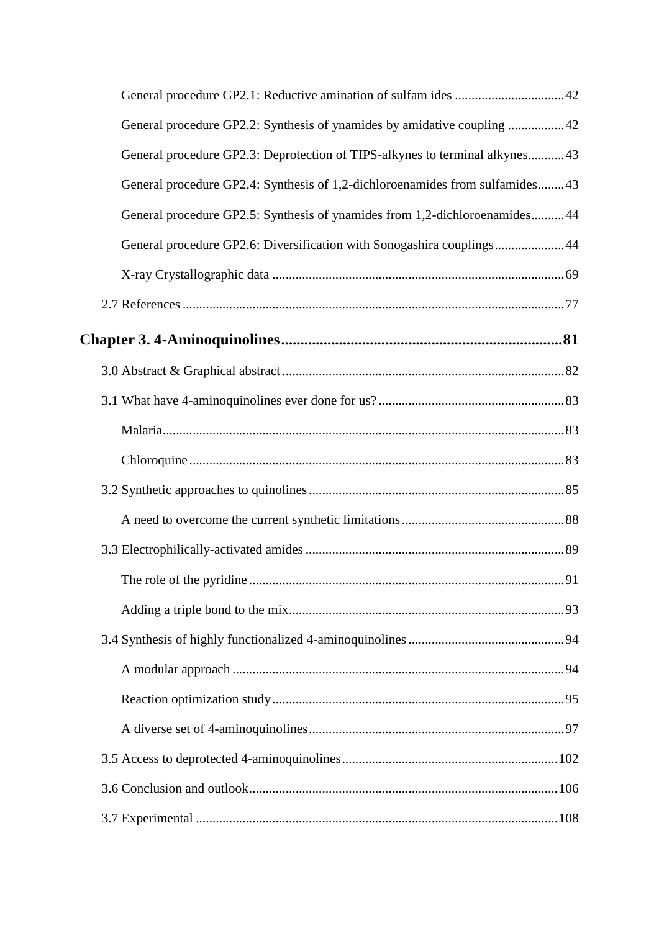| General procedure GP2.2: Synthesis of ynamides by amidative coupling 42      |  |
|------------------------------------------------------------------------------|--|
| General procedure GP2.3: Deprotection of TIPS-alkynes to terminal alkynes43  |  |
| General procedure GP2.4: Synthesis of 1,2-dichloroenamides from sulfamides43 |  |
| General procedure GP2.5: Synthesis of ynamides from 1,2-dichloroenamides44   |  |
| General procedure GP2.6: Diversification with Sonogashira couplings44        |  |
|                                                                              |  |
|                                                                              |  |
|                                                                              |  |
|                                                                              |  |
|                                                                              |  |
|                                                                              |  |
|                                                                              |  |
|                                                                              |  |
|                                                                              |  |
|                                                                              |  |
|                                                                              |  |
|                                                                              |  |
|                                                                              |  |
|                                                                              |  |
|                                                                              |  |
|                                                                              |  |
|                                                                              |  |
|                                                                              |  |
|                                                                              |  |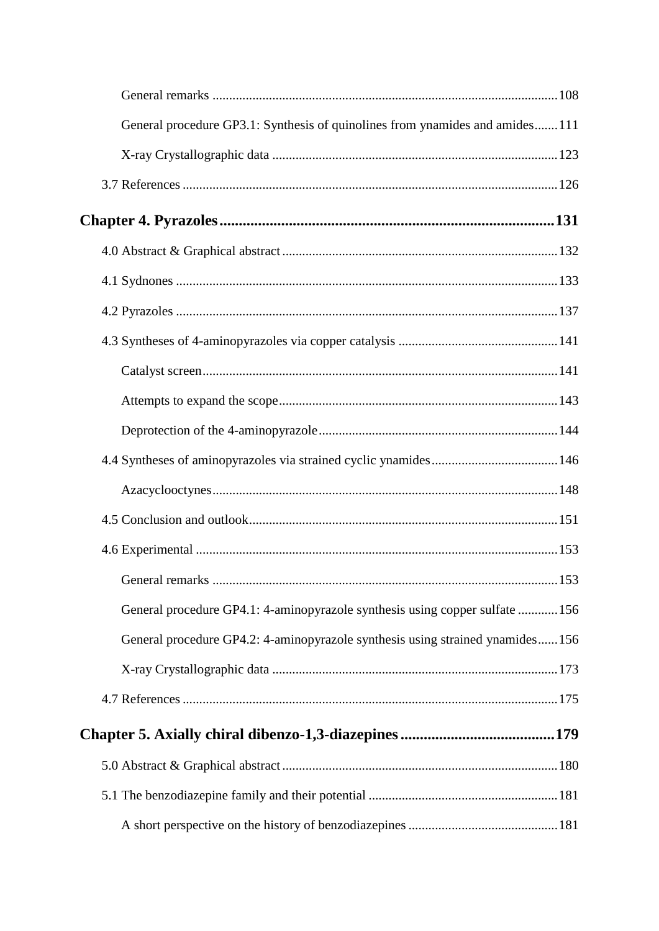| General procedure GP3.1: Synthesis of quinolines from ynamides and amides111  |  |
|-------------------------------------------------------------------------------|--|
|                                                                               |  |
|                                                                               |  |
|                                                                               |  |
|                                                                               |  |
|                                                                               |  |
|                                                                               |  |
|                                                                               |  |
|                                                                               |  |
|                                                                               |  |
|                                                                               |  |
|                                                                               |  |
|                                                                               |  |
|                                                                               |  |
|                                                                               |  |
|                                                                               |  |
| General procedure GP4.1: 4-aminopyrazole synthesis using copper sulfate 156   |  |
| General procedure GP4.2: 4-aminopyrazole synthesis using strained ynamides156 |  |
|                                                                               |  |
|                                                                               |  |
|                                                                               |  |
|                                                                               |  |
|                                                                               |  |
|                                                                               |  |